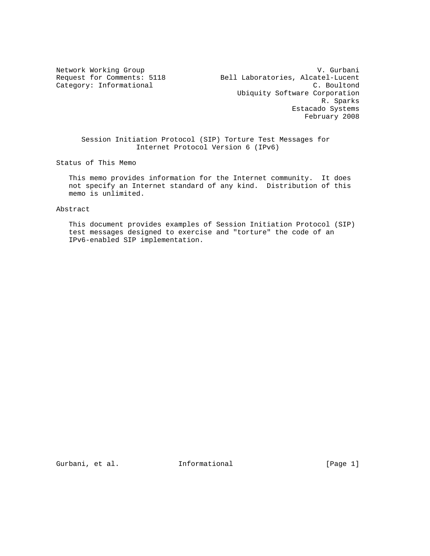Network Working Group V. Gurbani Request for Comments: 5118 Bell Laboratories, Alcatel-Lucent Category: Informational C. Boultond Ubiquity Software Corporation R. Sparks Estacado Systems February 2008

 Session Initiation Protocol (SIP) Torture Test Messages for Internet Protocol Version 6 (IPv6)

Status of This Memo

 This memo provides information for the Internet community. It does not specify an Internet standard of any kind. Distribution of this memo is unlimited.

Abstract

 This document provides examples of Session Initiation Protocol (SIP) test messages designed to exercise and "torture" the code of an IPv6-enabled SIP implementation.

Gurbani, et al. **Informational** [Page 1]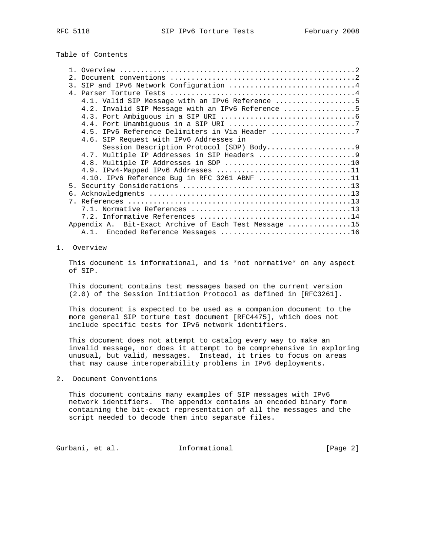## Table of Contents

| 2.1                                                   |
|-------------------------------------------------------|
| 3. SIP and IPv6 Network Configuration 4               |
|                                                       |
| 4.1. Valid SIP Message with an IPv6 Reference 5       |
| 4.2. Invalid SIP Message with an IPv6 Reference 5     |
|                                                       |
|                                                       |
|                                                       |
| 4.6. SIP Request with IPv6 Addresses in               |
|                                                       |
|                                                       |
|                                                       |
|                                                       |
| 4.10. IPv6 Reference Bug in RFC 3261 ABNF 11          |
|                                                       |
|                                                       |
|                                                       |
|                                                       |
|                                                       |
| Appendix A. Bit-Exact Archive of Each Test Message 15 |
| A.1. Encoded Reference Messages 16                    |

#### 1. Overview

 This document is informational, and is \*not normative\* on any aspect of SIP.

 This document contains test messages based on the current version (2.0) of the Session Initiation Protocol as defined in [RFC3261].

 This document is expected to be used as a companion document to the more general SIP torture test document [RFC4475], which does not include specific tests for IPv6 network identifiers.

 This document does not attempt to catalog every way to make an invalid message, nor does it attempt to be comprehensive in exploring unusual, but valid, messages. Instead, it tries to focus on areas that may cause interoperability problems in IPv6 deployments.

2. Document Conventions

 This document contains many examples of SIP messages with IPv6 network identifiers. The appendix contains an encoded binary form containing the bit-exact representation of all the messages and the script needed to decode them into separate files.

Gurbani, et al. 1nformational 1999 [Page 2]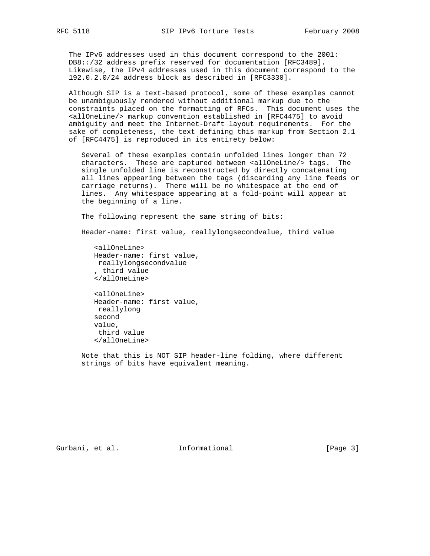The IPv6 addresses used in this document correspond to the 2001: DB8::/32 address prefix reserved for documentation [RFC3489]. Likewise, the IPv4 addresses used in this document correspond to the 192.0.2.0/24 address block as described in [RFC3330].

 Although SIP is a text-based protocol, some of these examples cannot be unambiguously rendered without additional markup due to the constraints placed on the formatting of RFCs. This document uses the <allOneLine/> markup convention established in [RFC4475] to avoid ambiguity and meet the Internet-Draft layout requirements. For the sake of completeness, the text defining this markup from Section 2.1 of [RFC4475] is reproduced in its entirety below:

 Several of these examples contain unfolded lines longer than 72 characters. These are captured between <allOneLine/> tags. The single unfolded line is reconstructed by directly concatenating all lines appearing between the tags (discarding any line feeds or carriage returns). There will be no whitespace at the end of lines. Any whitespace appearing at a fold-point will appear at the beginning of a line.

The following represent the same string of bits:

Header-name: first value, reallylongsecondvalue, third value

 <allOneLine> Header-name: first value, reallylongsecondvalue , third value </allOneLine> <allOneLine>

 Header-name: first value, reallylong second value, third value </allOneLine>

 Note that this is NOT SIP header-line folding, where different strings of bits have equivalent meaning.

Gurbani, et al. **Informational** [Page 3]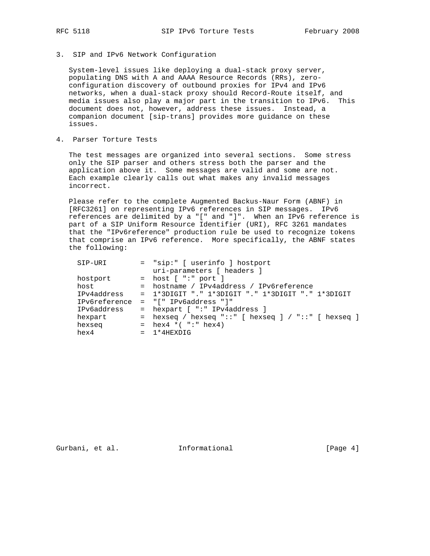3. SIP and IPv6 Network Configuration

 System-level issues like deploying a dual-stack proxy server, populating DNS with A and AAAA Resource Records (RRs), zero configuration discovery of outbound proxies for IPv4 and IPv6 networks, when a dual-stack proxy should Record-Route itself, and media issues also play a major part in the transition to IPv6. This document does not, however, address these issues. Instead, a companion document [sip-trans] provides more guidance on these issues.

4. Parser Torture Tests

 The test messages are organized into several sections. Some stress only the SIP parser and others stress both the parser and the application above it. Some messages are valid and some are not. Each example clearly calls out what makes any invalid messages incorrect.

 Please refer to the complete Augmented Backus-Naur Form (ABNF) in [RFC3261] on representing IPv6 references in SIP messages. IPv6 references are delimited by a "[" and "]". When an IPv6 reference is part of a SIP Uniform Resource Identifier (URI), RFC 3261 mandates that the "IPv6reference" production rule be used to recognize tokens that comprise an IPv6 reference. More specifically, the ABNF states the following:

| SIP-URI       | = "sip:" [ userinfo ] hostport                              |
|---------------|-------------------------------------------------------------|
|               | uri-parameters [ headers ]                                  |
| hostport      | $=$ host [ ":" port ]                                       |
| host          | = hostname / IPv4address / IPv6reference                    |
| IPv4address   | = 1*3DIGIT "." 1*3DIGIT "." 1*3DIGIT "." 1*3DIGIT           |
| IPv6reference | $=$ "[" IPv6address "]"                                     |
| IPv6address   | = hexpart [ ":" IPv4address ]                               |
| hexpart       | = hexseq / hexseq "::" $[$ hexseq $]$ / "::" $[$ hexseq $]$ |
| hexseg        | = $hex4 * ( " : " hex4)$                                    |
| hex4          | $= 1*4$ HEXDIG                                              |

Gurbani, et al. **Informational** [Page 4]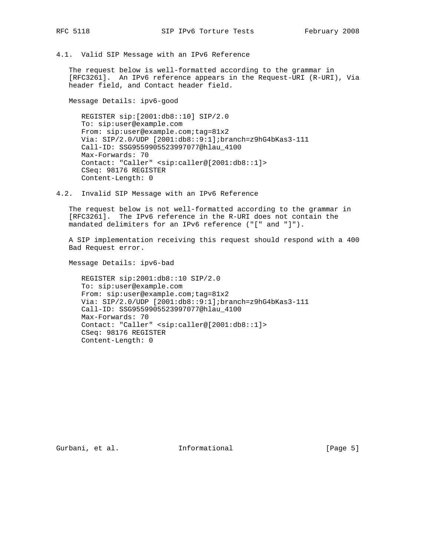4.1. Valid SIP Message with an IPv6 Reference

 The request below is well-formatted according to the grammar in [RFC3261]. An IPv6 reference appears in the Request-URI (R-URI), Via header field, and Contact header field.

Message Details: ipv6-good

 REGISTER sip:[2001:db8::10] SIP/2.0 To: sip:user@example.com From: sip:user@example.com;tag=81x2 Via: SIP/2.0/UDP [2001:db8::9:1];branch=z9hG4bKas3-111 Call-ID: SSG9559905523997077@hlau\_4100 Max-Forwards: 70 Contact: "Caller" <sip:caller@[2001:db8::1]> CSeq: 98176 REGISTER Content-Length: 0

4.2. Invalid SIP Message with an IPv6 Reference

 The request below is not well-formatted according to the grammar in [RFC3261]. The IPv6 reference in the R-URI does not contain the mandated delimiters for an IPv6 reference ("[" and "]").

 A SIP implementation receiving this request should respond with a 400 Bad Request error.

Message Details: ipv6-bad

 REGISTER sip:2001:db8::10 SIP/2.0 To: sip:user@example.com From: sip:user@example.com;tag=81x2 Via: SIP/2.0/UDP [2001:db8::9:1];branch=z9hG4bKas3-111 Call-ID: SSG9559905523997077@hlau\_4100 Max-Forwards: 70 Contact: "Caller" <sip:caller@[2001:db8::1]> CSeq: 98176 REGISTER Content-Length: 0

Gurbani, et al. **Informational** [Page 5]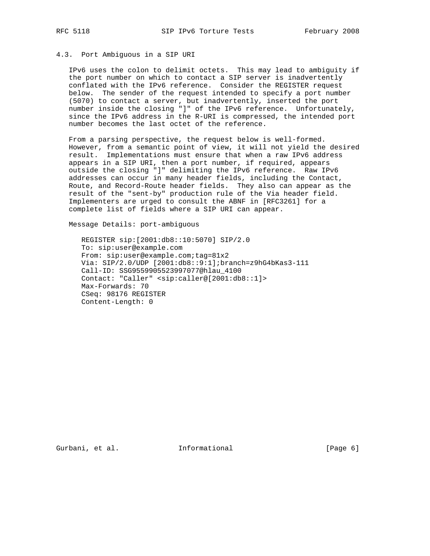#### 4.3. Port Ambiguous in a SIP URI

 IPv6 uses the colon to delimit octets. This may lead to ambiguity if the port number on which to contact a SIP server is inadvertently conflated with the IPv6 reference. Consider the REGISTER request below. The sender of the request intended to specify a port number (5070) to contact a server, but inadvertently, inserted the port number inside the closing "]" of the IPv6 reference. Unfortunately, since the IPv6 address in the R-URI is compressed, the intended port number becomes the last octet of the reference.

 From a parsing perspective, the request below is well-formed. However, from a semantic point of view, it will not yield the desired result. Implementations must ensure that when a raw IPv6 address appears in a SIP URI, then a port number, if required, appears outside the closing "]" delimiting the IPv6 reference. Raw IPv6 addresses can occur in many header fields, including the Contact, Route, and Record-Route header fields. They also can appear as the result of the "sent-by" production rule of the Via header field. Implementers are urged to consult the ABNF in [RFC3261] for a complete list of fields where a SIP URI can appear.

Message Details: port-ambiguous

 REGISTER sip:[2001:db8::10:5070] SIP/2.0 To: sip:user@example.com From: sip:user@example.com;tag=81x2 Via: SIP/2.0/UDP [2001:db8::9:1];branch=z9hG4bKas3-111 Call-ID: SSG9559905523997077@hlau\_4100 Contact: "Caller" <sip:caller@[2001:db8::1]> Max-Forwards: 70 CSeq: 98176 REGISTER Content-Length: 0

Gurbani, et al. **Informational** [Page 6]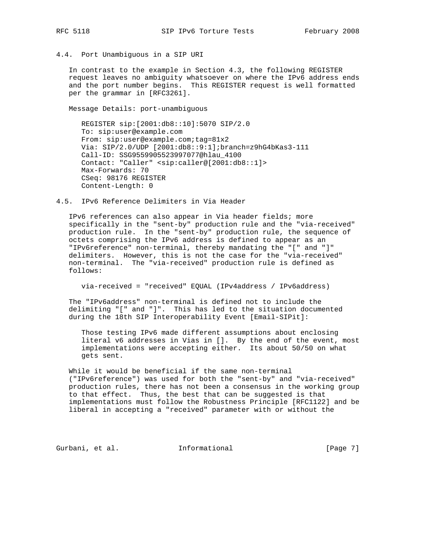# 4.4. Port Unambiguous in a SIP URI

 In contrast to the example in Section 4.3, the following REGISTER request leaves no ambiguity whatsoever on where the IPv6 address ends and the port number begins. This REGISTER request is well formatted per the grammar in [RFC3261].

Message Details: port-unambiguous

 REGISTER sip:[2001:db8::10]:5070 SIP/2.0 To: sip:user@example.com From: sip:user@example.com;tag=81x2 Via: SIP/2.0/UDP [2001:db8::9:1];branch=z9hG4bKas3-111 Call-ID: SSG9559905523997077@hlau\_4100 Contact: "Caller" <sip:caller@[2001:db8::1]> Max-Forwards: 70 CSeq: 98176 REGISTER Content-Length: 0

4.5. IPv6 Reference Delimiters in Via Header

 IPv6 references can also appear in Via header fields; more specifically in the "sent-by" production rule and the "via-received" production rule. In the "sent-by" production rule, the sequence of octets comprising the IPv6 address is defined to appear as an "IPv6reference" non-terminal, thereby mandating the "[" and "]" delimiters. However, this is not the case for the "via-received" non-terminal. The "via-received" production rule is defined as follows:

via-received = "received" EQUAL (IPv4address / IPv6address)

 The "IPv6address" non-terminal is defined not to include the delimiting "[" and "]". This has led to the situation documented during the 18th SIP Interoperability Event [Email-SIPit]:

 Those testing IPv6 made different assumptions about enclosing literal v6 addresses in Vias in []. By the end of the event, most implementations were accepting either. Its about 50/50 on what gets sent.

 While it would be beneficial if the same non-terminal ("IPv6reference") was used for both the "sent-by" and "via-received" production rules, there has not been a consensus in the working group to that effect. Thus, the best that can be suggested is that implementations must follow the Robustness Principle [RFC1122] and be liberal in accepting a "received" parameter with or without the

Gurbani, et al. **Informational** [Page 7]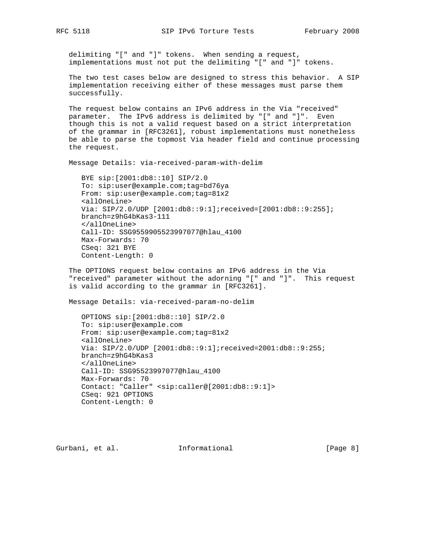delimiting "[" and "]" tokens. When sending a request, implementations must not put the delimiting "[" and "]" tokens.

 The two test cases below are designed to stress this behavior. A SIP implementation receiving either of these messages must parse them successfully.

 The request below contains an IPv6 address in the Via "received" parameter. The IPv6 address is delimited by "[" and "]". Even though this is not a valid request based on a strict interpretation of the grammar in [RFC3261], robust implementations must nonetheless be able to parse the topmost Via header field and continue processing the request.

Message Details: via-received-param-with-delim

 BYE sip:[2001:db8::10] SIP/2.0 To: sip:user@example.com;tag=bd76ya From: sip:user@example.com;tag=81x2 <allOneLine> Via: SIP/2.0/UDP [2001:db8::9:1];received=[2001:db8::9:255]; branch=z9hG4bKas3-111 </allOneLine> Call-ID: SSG9559905523997077@hlau\_4100 Max-Forwards: 70 CSeq: 321 BYE Content-Length: 0

 The OPTIONS request below contains an IPv6 address in the Via "received" parameter without the adorning "[" and "]". This request is valid according to the grammar in [RFC3261].

Message Details: via-received-param-no-delim

 OPTIONS sip:[2001:db8::10] SIP/2.0 To: sip:user@example.com From: sip:user@example.com;tag=81x2 <allOneLine> Via: SIP/2.0/UDP [2001:db8::9:1];received=2001:db8::9:255; branch=z9hG4bKas3 </allOneLine> Call-ID: SSG95523997077@hlau\_4100 Max-Forwards: 70 Contact: "Caller" <sip:caller@[2001:db8::9:1]> CSeq: 921 OPTIONS Content-Length: 0

Gurbani, et al. 1nformational 1999 [Page 8]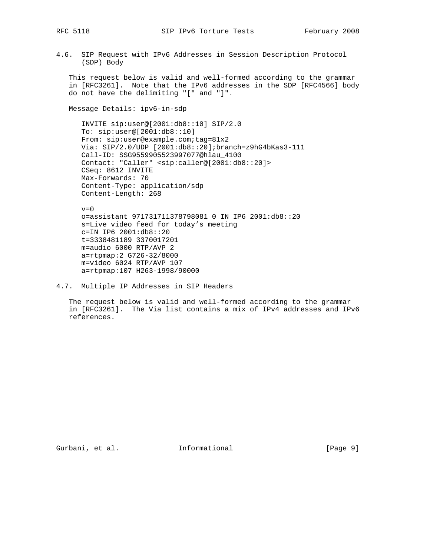4.6. SIP Request with IPv6 Addresses in Session Description Protocol (SDP) Body

 This request below is valid and well-formed according to the grammar in [RFC3261]. Note that the IPv6 addresses in the SDP [RFC4566] body do not have the delimiting "[" and "]".

Message Details: ipv6-in-sdp

 INVITE sip:user@[2001:db8::10] SIP/2.0 To: sip:user@[2001:db8::10] From: sip:user@example.com;tag=81x2 Via: SIP/2.0/UDP [2001:db8::20];branch=z9hG4bKas3-111 Call-ID: SSG9559905523997077@hlau\_4100 Contact: "Caller" <sip:caller@[2001:db8::20]> CSeq: 8612 INVITE Max-Forwards: 70 Content-Type: application/sdp Content-Length: 268

 $v=0$  o=assistant 971731711378798081 0 IN IP6 2001:db8::20 s=Live video feed for today's meeting c=IN IP6 2001:db8::20 t=3338481189 3370017201 m=audio 6000 RTP/AVP 2 a=rtpmap:2 G726-32/8000 m=video 6024 RTP/AVP 107 a=rtpmap:107 H263-1998/90000

4.7. Multiple IP Addresses in SIP Headers

 The request below is valid and well-formed according to the grammar in [RFC3261]. The Via list contains a mix of IPv4 addresses and IPv6 references.

Gurbani, et al. 1nformational (Page 9)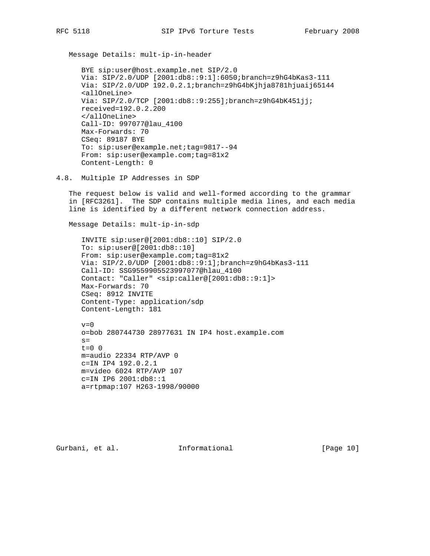Message Details: mult-ip-in-header

 BYE sip:user@host.example.net SIP/2.0 Via: SIP/2.0/UDP [2001:db8::9:1]:6050;branch=z9hG4bKas3-111 Via: SIP/2.0/UDP 192.0.2.1;branch=z9hG4bKjhja8781hjuaij65144 <allOneLine> Via: SIP/2.0/TCP [2001:db8::9:255];branch=z9hG4bK451jj; received=192.0.2.200 </allOneLine> Call-ID: 997077@lau\_4100 Max-Forwards: 70 CSeq: 89187 BYE To: sip:user@example.net;tag=9817--94 From: sip:user@example.com;tag=81x2 Content-Length: 0

4.8. Multiple IP Addresses in SDP

 The request below is valid and well-formed according to the grammar in [RFC3261]. The SDP contains multiple media lines, and each media line is identified by a different network connection address.

Message Details: mult-ip-in-sdp

 INVITE sip:user@[2001:db8::10] SIP/2.0 To: sip:user@[2001:db8::10] From: sip:user@example.com;tag=81x2 Via: SIP/2.0/UDP [2001:db8::9:1];branch=z9hG4bKas3-111 Call-ID: SSG9559905523997077@hlau\_4100 Contact: "Caller" <sip:caller@[2001:db8::9:1]> Max-Forwards: 70 CSeq: 8912 INVITE Content-Type: application/sdp Content-Length: 181

 $v=0$  o=bob 280744730 28977631 IN IP4 host.example.com  $s=$  $t=0$  0 m=audio 22334 RTP/AVP 0 c=IN IP4 192.0.2.1 m=video 6024 RTP/AVP 107 c=IN IP6 2001:db8::1 a=rtpmap:107 H263-1998/90000

Gurbani, et al. 1nformational [Page 10]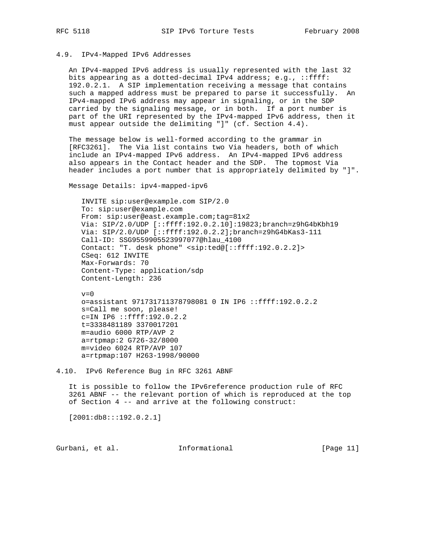#### 4.9. IPv4-Mapped IPv6 Addresses

 An IPv4-mapped IPv6 address is usually represented with the last 32 bits appearing as a dotted-decimal IPv4 address; e.g., ::ffff: 192.0.2.1. A SIP implementation receiving a message that contains such a mapped address must be prepared to parse it successfully. An IPv4-mapped IPv6 address may appear in signaling, or in the SDP carried by the signaling message, or in both. If a port number is part of the URI represented by the IPv4-mapped IPv6 address, then it must appear outside the delimiting "]" (cf. Section 4.4).

 The message below is well-formed according to the grammar in [RFC3261]. The Via list contains two Via headers, both of which include an IPv4-mapped IPv6 address. An IPv4-mapped IPv6 address also appears in the Contact header and the SDP. The topmost Via header includes a port number that is appropriately delimited by "]".

Message Details: ipv4-mapped-ipv6

 INVITE sip:user@example.com SIP/2.0 To: sip:user@example.com From: sip:user@east.example.com;tag=81x2 Via: SIP/2.0/UDP [::ffff:192.0.2.10]:19823;branch=z9hG4bKbh19 Via: SIP/2.0/UDP [::ffff:192.0.2.2];branch=z9hG4bKas3-111 Call-ID: SSG9559905523997077@hlau\_4100 Contact: "T. desk phone" <sip:ted@[::ffff:192.0.2.2]> CSeq: 612 INVITE Max-Forwards: 70 Content-Type: application/sdp Content-Length: 236

 $v=0$  o=assistant 971731711378798081 0 IN IP6 ::ffff:192.0.2.2 s=Call me soon, please! c=IN IP6 ::ffff:192.0.2.2 t=3338481189 3370017201 m=audio 6000 RTP/AVP 2 a=rtpmap:2 G726-32/8000 m=video 6024 RTP/AVP 107 a=rtpmap:107 H263-1998/90000

 It is possible to follow the IPv6reference production rule of RFC 3261 ABNF -- the relevant portion of which is reproduced at the top of Section 4 -- and arrive at the following construct:

[2001:db8:::192.0.2.1]

Gurbani, et al. **Informational** [Page 11]

<sup>4.10.</sup> IPv6 Reference Bug in RFC 3261 ABNF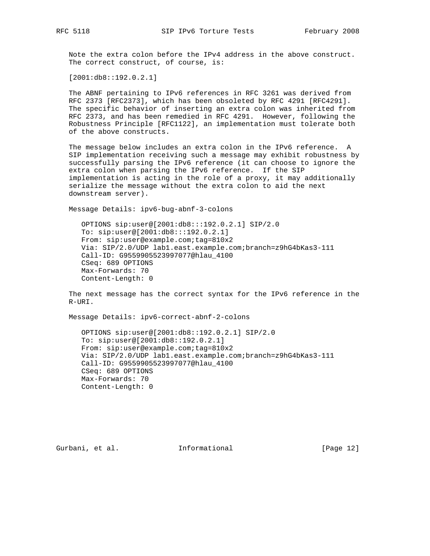Note the extra colon before the IPv4 address in the above construct. The correct construct, of course, is:

[2001:db8::192.0.2.1]

 The ABNF pertaining to IPv6 references in RFC 3261 was derived from RFC 2373 [RFC2373], which has been obsoleted by RFC 4291 [RFC4291]. The specific behavior of inserting an extra colon was inherited from RFC 2373, and has been remedied in RFC 4291. However, following the Robustness Principle [RFC1122], an implementation must tolerate both of the above constructs.

 The message below includes an extra colon in the IPv6 reference. A SIP implementation receiving such a message may exhibit robustness by successfully parsing the IPv6 reference (it can choose to ignore the extra colon when parsing the IPv6 reference. If the SIP implementation is acting in the role of a proxy, it may additionally serialize the message without the extra colon to aid the next downstream server).

Message Details: ipv6-bug-abnf-3-colons

 OPTIONS sip:user@[2001:db8:::192.0.2.1] SIP/2.0 To: sip:user@[2001:db8:::192.0.2.1] From: sip:user@example.com;tag=810x2 Via: SIP/2.0/UDP lab1.east.example.com;branch=z9hG4bKas3-111 Call-ID: G9559905523997077@hlau\_4100 CSeq: 689 OPTIONS Max-Forwards: 70 Content-Length: 0

 The next message has the correct syntax for the IPv6 reference in the R-URI.

Message Details: ipv6-correct-abnf-2-colons

 OPTIONS sip:user@[2001:db8::192.0.2.1] SIP/2.0 To: sip:user@[2001:db8::192.0.2.1] From: sip:user@example.com;tag=810x2 Via: SIP/2.0/UDP lab1.east.example.com;branch=z9hG4bKas3-111 Call-ID: G9559905523997077@hlau\_4100 CSeq: 689 OPTIONS Max-Forwards: 70 Content-Length: 0

Gurbani, et al. **Informational** [Page 12]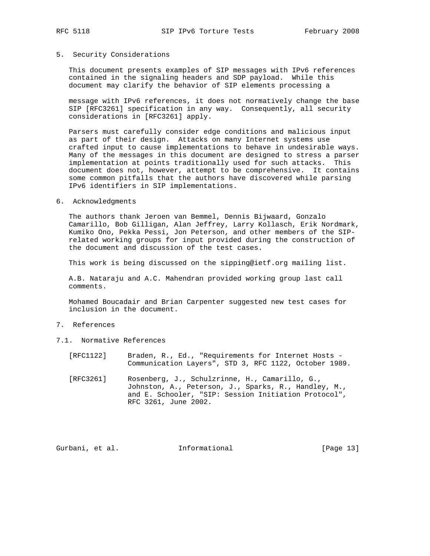#### 5. Security Considerations

 This document presents examples of SIP messages with IPv6 references contained in the signaling headers and SDP payload. While this document may clarify the behavior of SIP elements processing a

 message with IPv6 references, it does not normatively change the base SIP [RFC3261] specification in any way. Consequently, all security considerations in [RFC3261] apply.

 Parsers must carefully consider edge conditions and malicious input as part of their design. Attacks on many Internet systems use crafted input to cause implementations to behave in undesirable ways. Many of the messages in this document are designed to stress a parser implementation at points traditionally used for such attacks. This document does not, however, attempt to be comprehensive. It contains some common pitfalls that the authors have discovered while parsing IPv6 identifiers in SIP implementations.

6. Acknowledgments

 The authors thank Jeroen van Bemmel, Dennis Bijwaard, Gonzalo Camarillo, Bob Gilligan, Alan Jeffrey, Larry Kollasch, Erik Nordmark, Kumiko Ono, Pekka Pessi, Jon Peterson, and other members of the SIP related working groups for input provided during the construction of the document and discussion of the test cases.

This work is being discussed on the sipping@ietf.org mailing list.

 A.B. Nataraju and A.C. Mahendran provided working group last call comments.

 Mohamed Boucadair and Brian Carpenter suggested new test cases for inclusion in the document.

- 7. References
- 7.1. Normative References
	- [RFC1122] Braden, R., Ed., "Requirements for Internet Hosts Communication Layers", STD 3, RFC 1122, October 1989.
	- [RFC3261] Rosenberg, J., Schulzrinne, H., Camarillo, G., Johnston, A., Peterson, J., Sparks, R., Handley, M., and E. Schooler, "SIP: Session Initiation Protocol", RFC 3261, June 2002.

Gurbani, et al. **Informational** [Page 13]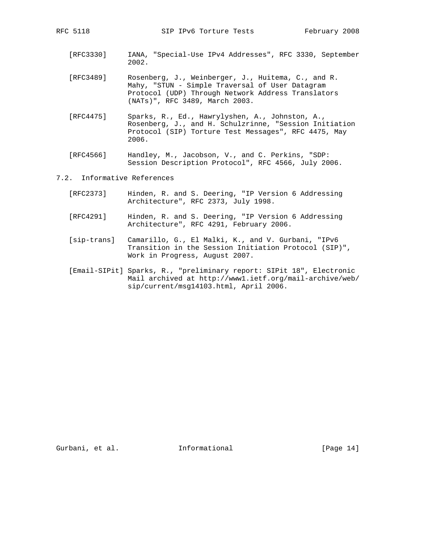- [RFC3330] IANA, "Special-Use IPv4 Addresses", RFC 3330, September 2002.
- [RFC3489] Rosenberg, J., Weinberger, J., Huitema, C., and R. Mahy, "STUN - Simple Traversal of User Datagram Protocol (UDP) Through Network Address Translators (NATs)", RFC 3489, March 2003.
- [RFC4475] Sparks, R., Ed., Hawrylyshen, A., Johnston, A., Rosenberg, J., and H. Schulzrinne, "Session Initiation Protocol (SIP) Torture Test Messages", RFC 4475, May 2006.
- [RFC4566] Handley, M., Jacobson, V., and C. Perkins, "SDP: Session Description Protocol", RFC 4566, July 2006.

#### 7.2. Informative References

- [RFC2373] Hinden, R. and S. Deering, "IP Version 6 Addressing Architecture", RFC 2373, July 1998.
- [RFC4291] Hinden, R. and S. Deering, "IP Version 6 Addressing Architecture", RFC 4291, February 2006.
- [sip-trans] Camarillo, G., El Malki, K., and V. Gurbani, "IPv6 Transition in the Session Initiation Protocol (SIP)", Work in Progress, August 2007.
- [Email-SIPit] Sparks, R., "preliminary report: SIPit 18", Electronic Mail archived at http://www1.ietf.org/mail-archive/web/ sip/current/msg14103.html, April 2006.

Gurbani, et al. 10 Informational [Page 14]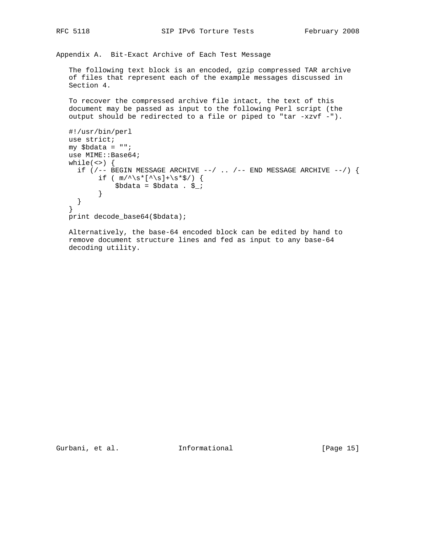Appendix A. Bit-Exact Archive of Each Test Message

 The following text block is an encoded, gzip compressed TAR archive of files that represent each of the example messages discussed in Section 4.

 To recover the compressed archive file intact, the text of this document may be passed as input to the following Perl script (the output should be redirected to a file or piped to "tar -xzvf -").

```
 #!/usr/bin/perl
 use strict;
 my $bdata = "";
use MIME::Base64;
while(\langle \rangle {
 if (/-- BEGIN MESSAGE ARCHIVE --/ .. /-- END MESSAGE ARCHIVE --/) {
       if ( m/\uparrow\s*[\uparrow\s]+\s*$/) {
            $bdata = $bdata . $_;
         }
   }
 }
 print decode_base64($bdata);
```
 Alternatively, the base-64 encoded block can be edited by hand to remove document structure lines and fed as input to any base-64 decoding utility.

Gurbani, et al. 10 Informational [Page 15]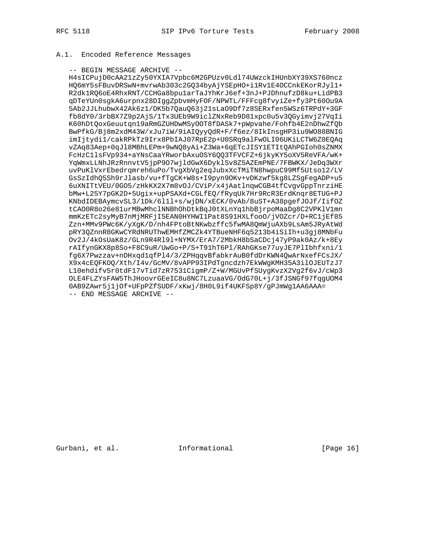### A.1. Encoded Reference Messages

#### -- BEGIN MESSAGE ARCHIVE --

 H4sICPujD0cAA21zZy50YXIA7Vpbc6M2GPUzv0Ldl74UWzckIHUnbXY39XS760ncz HQ6mY5sFBuvDRSwN+mvrwAb303c2GQ34byAjYSEpHO+i1Rv1E4OCCnkEKorRJyl1+ R2dk1RQ6oE4RhxRNT/CCHGa8bpu1arTaJYhKrJ6ef+3nJ+PJDhnufzD8ku+LidPB3 qDTeYUn0sgkA6urpnx28DIggZpbvmHyFOF/NPWTL/FFFcg8fvyiZe+fy3Pt60Ou9A 5Ab2JJLhubwX42Ak6z1/DK5b7QauQ63j21sLaO9Df7z8SERxfen5WSz6TRPdY+3GF fb8dY0/3rbBX7Z9p2AjS/1Tx3UEb9W9iclZNxReb9D81xpc0u5v3QGyimvj27VqIi K60hDtQoxGeuutqn19aRmGZUHDwMSyOOT8fDASk7+pWpvahe/Fohfb4E2nDhwZfQb BwPfkG/Bj8m2xdM43W/xJu7iW/9iAIQyyQdR+F/f6ez/8IkInsgHP3iu9WO88BNIG imIjtydi1/cakRPkTz9Irx8PbIAJ07RpE2p+U0SRq9alFwOLI06UKiLCTW6Z0EQAq vZAq83Aep+0qJl8MBhLEPm+9wNQ8yAi+Z3Wa+6qETcJISY1ETItQAhPGIoh0sZNMX FcHzC1lsFVp934+aYNsCaaYRworbAxuOSY6QQ3TFVCFZ+6jkyKY5oXV5ReVFA/wK+ YqWmxLLNhJRzRnnvtV5jpP9O7wjldGwX6DyklSv8Z5AZEmPNE/7FBWKX/JeDq3WXr uvPuKlVxrEbedrqmreh6uPo/TvgXbVg2eqJubxXcTMiTN8hwpuC99Mf5Utso12/LV GsSzIdhQ5Sh9rJlasb/vu+fTgCK+W8s+I9pyn9OKv+vDKzwf5kg8LZSgFegADP+u5 6uXNITtVEU/0GO5/zHkKX2X7m8vOJ/CViP/x4jAatlnqwCGB4tfCvgvGppTnrziHE bMw+L25Y7pGK2D+5Ugix+upPSAXd+CGLfEQ/fRyqUk7Hr9RcR3ErdKnqr8ETUG+PJ KNbdIDEBAymcvSL3/1Dk/6l1l+s/wjDN/xECK/0vAb/8uST+A38pgefJOJf/IifOZ tCAO0R8o26e81urMBwMhclNNBhOhDtkBqJ0tXLnYq1hbBjrpoMaaDg8C2VPKlV1mn mmKzETc2syMyB7nMjMRFjI5EAN0HYHWI1Pat8S91HXLfooO/jVOZcr/D+RC1jEf85 Zzn+MMv9PWc6K/yXgK/D/nh4FPtoBtNKwbzffc5fwMA8QmWjuAXb9LsAm5JRyAtWd pRY3QZnnR8GKwCYRdNRUThwEMHfZMCZk4YTBueNHF6q5213b4iSiIh+u3gj8MNbFu Ov2J/4kOsUaK8z/GLn9R4Rl9l+NYMX/ErA7/2MbkH8bSaCDcj47yP9ak0Az/k+8Ey rAIfynGKX8p8So+F8C9uR/UwGo+P/S+T91hT6Pl/RAhGKse77uyJE7PlIbhfxni/1 fg6X7Pwzzav+nDHxqd1qfPl4/3/ZPHqqvBfabkrAuB0fdDrKWN4QwArNxefFCsJX/ X9x4cEQFKOQ/Xth/I4v/GcMV/8vAPP93IPdTgncdzh7EkWWgKMH35A3ilOJEUTzJ7 L10ehdifv5r0tdF17vTid7zR7531CigmP/Z+W/MGUvPfSUygKvzX2Vg2f6vJ/cWp3 OLE4FLZYsFAW5ThJHoovrGEeIC8u8NC7LzuaaVG/OdG70L+j/3fJSNGf97fqgUOM4 0AB9ZAwr5j1jOf+UFpPZfSUDF/xKwj/8H0L9if4UKFSp8Y/gPJmWg1AA6AAA= -- END MESSAGE ARCHIVE --

Gurbani, et al. 1nformational 1999 [Page 16]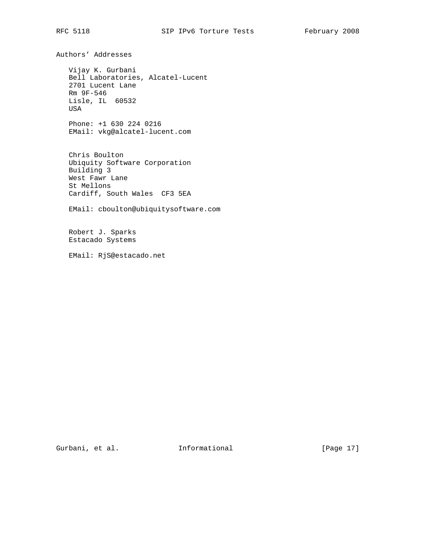Authors' Addresses

 Vijay K. Gurbani Bell Laboratories, Alcatel-Lucent 2701 Lucent Lane Rm 9F-546 Lisle, IL 60532 USA

 Phone: +1 630 224 0216 EMail: vkg@alcatel-lucent.com

 Chris Boulton Ubiquity Software Corporation Building 3 West Fawr Lane St Mellons Cardiff, South Wales CF3 5EA

EMail: cboulton@ubiquitysoftware.com

 Robert J. Sparks Estacado Systems

EMail: RjS@estacado.net

Gurbani, et al. 100 Informational [Page 17]